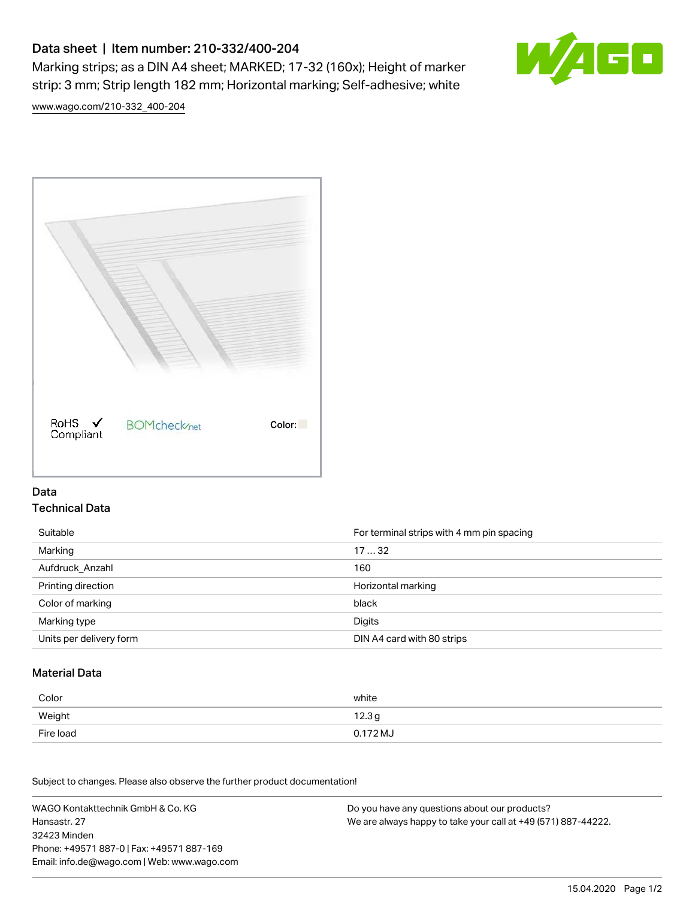# Data sheet | Item number: 210-332/400-204

Marking strips; as a DIN A4 sheet; MARKED; 17-32 (160x); Height of marker strip: 3 mm; Strip length 182 mm; Horizontal marking; Self-adhesive; white



[www.wago.com/210-332\\_400-204](http://www.wago.com/210-332_400-204)



### Data Technical Data

| Suitable                | For terminal strips with 4 mm pin spacing |
|-------------------------|-------------------------------------------|
| Marking                 | 1732                                      |
| Aufdruck Anzahl         | 160                                       |
| Printing direction      | Horizontal marking                        |
| Color of marking        | black                                     |
| Marking type            | Digits                                    |
| Units per delivery form | DIN A4 card with 80 strips                |

#### Material Data

| Color     | white             |
|-----------|-------------------|
| Weight    | 12.3 <sub>g</sub> |
| Fire load | 0.172 MJ          |

Subject to changes. Please also observe the further product documentation!

WAGO Kontakttechnik GmbH & Co. KG Hansastr. 27 32423 Minden Phone: +49571 887-0 | Fax: +49571 887-169 Email: info.de@wago.com | Web: www.wago.com Do you have any questions about our products? We are always happy to take your call at +49 (571) 887-44222.